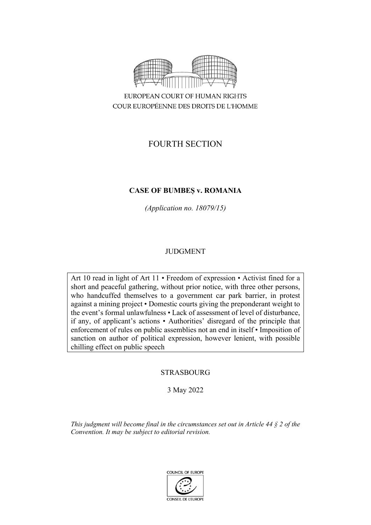

COUR EUROPÉENNE DES DROITS DE L'HOMME

# FOURTH SECTION

# **CASE OF BUMBEȘ v. ROMANIA**

*(Application no. 18079/15)*

# JUDGMENT

Art 10 read in light of Art 11 • Freedom of expression • Activist fined for a short and peaceful gathering, without prior notice, with three other persons, who handcuffed themselves to a government car park barrier, in protest against a mining project • Domestic courts giving the preponderant weight to the event's formal unlawfulness • Lack of assessment of level of disturbance, if any, of applicant's actions • Authorities' disregard of the principle that enforcement of rules on public assemblies not an end in itself • Imposition of sanction on author of political expression, however lenient, with possible chilling effect on public speech

# **STRASBOURG**

3 May 2022

*This judgment will become final in the circumstances set out in Article 44 § 2 of the Convention. It may be subject to editorial revision.*

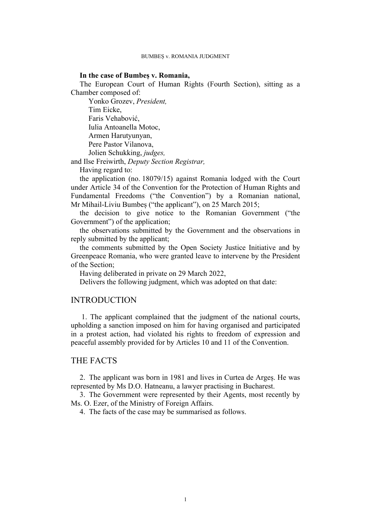## **In the case of Bumbeș v. Romania,**

The European Court of Human Rights (Fourth Section), sitting as a Chamber composed of:

Yonko Grozev, *President,* Tim Eicke, Faris Vehabović, Iulia Antoanella Motoc, Armen Harutyunyan, Pere Pastor Vilanova, Jolien Schukking, *judges,*

and Ilse Freiwirth, *Deputy Section Registrar,*

Having regard to:

the application (no. 18079/15) against Romania lodged with the Court under Article 34 of the Convention for the Protection of Human Rights and Fundamental Freedoms ("the Convention") by a Romanian national, Mr Mihail-Liviu Bumbeș ("the applicant"), on 25 March 2015;

the decision to give notice to the Romanian Government ("the Government") of the application;

the observations submitted by the Government and the observations in reply submitted by the applicant;

the comments submitted by the Open Society Justice Initiative and by Greenpeace Romania, who were granted leave to intervene by the President of the Section;

Having deliberated in private on 29 March 2022,

Delivers the following judgment, which was adopted on that date:

# INTRODUCTION

 1. The applicant complained that the judgment of the national courts, upholding a sanction imposed on him for having organised and participated in a protest action, had violated his rights to freedom of expression and peaceful assembly provided for by Articles 10 and 11 of the Convention.

# THE FACTS

2. The applicant was born in 1981 and lives in Curtea de Argeș. He was represented by Ms D.O. Hatneanu, a lawyer practising in Bucharest.

3. The Government were represented by their Agents, most recently by Ms. O. Ezer, of the Ministry of Foreign Affairs.

4. The facts of the case may be summarised as follows.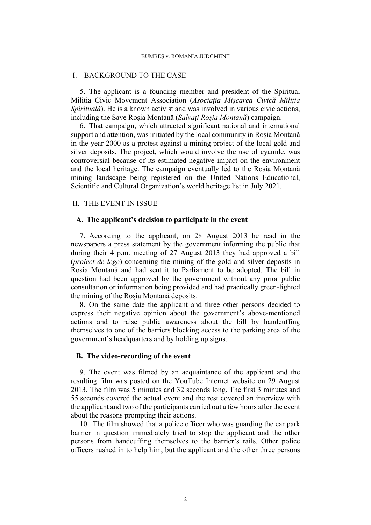## I. BACKGROUND TO THE CASE

5. The applicant is a founding member and president of the Spiritual Militia Civic Movement Association (*Asociaţia Mișcarea Civică Miliţia Spirituală*). He is a known activist and was involved in various civic actions, including the Save Roșia Montană (*Salvaţi Roșia Montană*) campaign.

6. That campaign, which attracted significant national and international support and attention, was initiated by the local community in Roșia Montană in the year 2000 as a protest against a mining project of the local gold and silver deposits. The project, which would involve the use of cyanide, was controversial because of its estimated negative impact on the environment and the local heritage. The campaign eventually led to the Roșia Montană mining landscape being registered on the United Nations Educational, Scientific and Cultural Organization's world heritage list in July 2021.

# II. THE EVENT IN ISSUE

## **A. The applicant's decision to participate in the event**

<span id="page-3-0"></span>7. According to the applicant, on 28 August 2013 he read in the newspapers a press statement by the government informing the public that during their 4 p.m. meeting of 27 August 2013 they had approved a bill (*proiect de lege*) concerning the mining of the gold and silver deposits in Roșia Montană and had sent it to Parliament to be adopted. The bill in question had been approved by the government without any prior public consultation or information being provided and had practically green-lighted the mining of the Roșia Montană deposits.

8. On the same date the applicant and three other persons decided to express their negative opinion about the government's above-mentioned actions and to raise public awareness about the bill by handcuffing themselves to one of the barriers blocking access to the parking area of the government's headquarters and by holding up signs.

# **B. The video-recording of the event**

<span id="page-3-1"></span>9. The event was filmed by an acquaintance of the applicant and the resulting film was posted on the YouTube Internet website on 29 August 2013. The film was 5 minutes and 32 seconds long. The first 3 minutes and 55 seconds covered the actual event and the rest covered an interview with the applicant and two of the participants carried out a few hours after the event about the reasons prompting their actions.

<span id="page-3-2"></span>10. The film showed that a police officer who was guarding the car park barrier in question immediately tried to stop the applicant and the other persons from handcuffing themselves to the barrier's rails. Other police officers rushed in to help him, but the applicant and the other three persons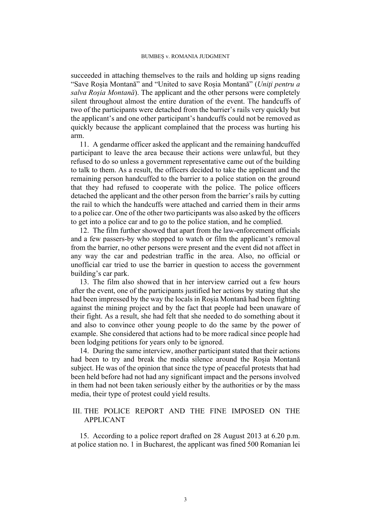succeeded in attaching themselves to the rails and holding up signs reading "Save Roșia Montană" and "United to save Roșia Montană" (*Uniţi pentru a salva Roșia Montană*). The applicant and the other persons were completely silent throughout almost the entire duration of the event. The handcuffs of two of the participants were detached from the barrier's rails very quickly but the applicant's and one other participant's handcuffs could not be removed as quickly because the applicant complained that the process was hurting his arm.

<span id="page-4-2"></span>11. A gendarme officer asked the applicant and the remaining handcuffed participant to leave the area because their actions were unlawful, but they refused to do so unless a government representative came out of the building to talk to them. As a result, the officers decided to take the applicant and the remaining person handcuffed to the barrier to a police station on the ground that they had refused to cooperate with the police. The police officers detached the applicant and the other person from the barrier's rails by cutting the rail to which the handcuffs were attached and carried them in their arms to a police car. One of the other two participants was also asked by the officers to get into a police car and to go to the police station, and he complied.

12. The film further showed that apart from the law-enforcement officials and a few passers-by who stopped to watch or film the applicant's removal from the barrier, no other persons were present and the event did not affect in any way the car and pedestrian traffic in the area. Also, no official or unofficial car tried to use the barrier in question to access the government building's car park.

13. The film also showed that in her interview carried out a few hours after the event, one of the participants justified her actions by stating that she had been impressed by the way the locals in Roșia Montană had been fighting against the mining project and by the fact that people had been unaware of their fight. As a result, she had felt that she needed to do something about it and also to convince other young people to do the same by the power of example. She considered that actions had to be more radical since people had been lodging petitions for years only to be ignored.

<span id="page-4-0"></span>14. During the same interview, another participant stated that their actions had been to try and break the media silence around the Roșia Montană subject. He was of the opinion that since the type of peaceful protests that had been held before had not had any significant impact and the persons involved in them had not been taken seriously either by the authorities or by the mass media, their type of protest could yield results.

## III. THE POLICE REPORT AND THE FINE IMPOSED ON THE APPLICANT

<span id="page-4-1"></span>15. According to a police report drafted on 28 August 2013 at 6.20 p.m. at police station no. 1 in Bucharest, the applicant was fined 500 Romanian lei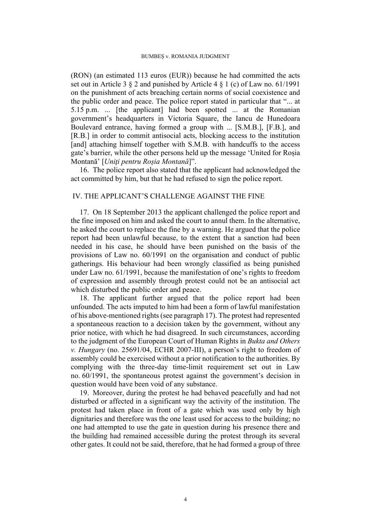(RON) (an estimated 113 euros (EUR)) because he had committed the acts set out in Article 3 § 2 and punished by Article 4 § 1 (c) of Law no. 61/1991 on the punishment of acts breaching certain norms of social coexistence and the public order and peace. The police report stated in particular that "... at 5.15 p.m. ... [the applicant] had been spotted ... at the Romanian government's headquarters in Victoria Square, the Iancu de Hunedoara Boulevard entrance, having formed a group with ... [S.M.B.], [F.B.], and [R.B.] in order to commit antisocial acts, blocking access to the institution [and] attaching himself together with S.M.B. with handcuffs to the access gate's barrier, while the other persons held up the message 'United for Roșia Montană' [*Uniţi pentru Roșia Montană*]".

<span id="page-5-3"></span>16. The police report also stated that the applicant had acknowledged the act committed by him, but that he had refused to sign the police report.

# IV. THE APPLICANT'S CHALLENGE AGAINST THE FINE

<span id="page-5-0"></span>17. On 18 September 2013 the applicant challenged the police report and the fine imposed on him and asked the court to annul them. In the alternative, he asked the court to replace the fine by a warning. He argued that the police report had been unlawful because, to the extent that a sanction had been needed in his case, he should have been punished on the basis of the provisions of Law no. 60/1991 on the organisation and conduct of public gatherings. His behaviour had been wrongly classified as being punished under Law no. 61/1991, because the manifestation of one's rights to freedom of expression and assembly through protest could not be an antisocial act which disturbed the public order and peace.

<span id="page-5-1"></span>18. The applicant further argued that the police report had been unfounded. The acts imputed to him had been a form of lawful manifestation of his above-mentioned rights (see paragraph [17](#page-5-0)). The protest had represented a spontaneous reaction to a decision taken by the government, without any prior notice, with which he had disagreed. In such circumstances, according to the judgment of the European Court of Human Rights in *Bukta and Others v. Hungary* (no. 25691/04, ECHR 2007-III), a person's right to freedom of assembly could be exercised without a prior notification to the authorities. By complying with the three-day time-limit requirement set out in Law no. 60/1991, the spontaneous protest against the government's decision in question would have been void of any substance.

<span id="page-5-2"></span>19. Moreover, during the protest he had behaved peacefully and had not disturbed or affected in a significant way the activity of the institution. The protest had taken place in front of a gate which was used only by high dignitaries and therefore was the one least used for access to the building; no one had attempted to use the gate in question during his presence there and the building had remained accessible during the protest through its several other gates. It could not be said, therefore, that he had formed a group of three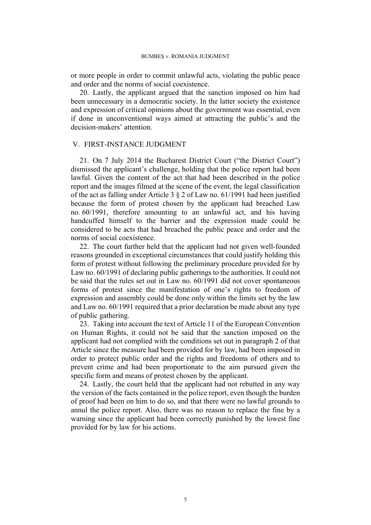or more people in order to commit unlawful acts, violating the public peace and order and the norms of social coexistence.

<span id="page-6-0"></span>20. Lastly, the applicant argued that the sanction imposed on him had been unnecessary in a democratic society. In the latter society the existence and expression of critical opinions about the government was essential, even if done in unconventional ways aimed at attracting the public's and the decision-makers' attention.

## V. FIRST-INSTANCE JUDGMENT

<span id="page-6-2"></span>21. On 7 July 2014 the Bucharest District Court ("the District Court") dismissed the applicant's challenge, holding that the police report had been lawful. Given the content of the act that had been described in the police report and the images filmed at the scene of the event, the legal classification of the act as falling under Article 3 § 2 of Law no. 61/1991 had been justified because the form of protest chosen by the applicant had breached Law no. 60/1991, therefore amounting to an unlawful act, and his having handcuffed himself to the barrier and the expression made could be considered to be acts that had breached the public peace and order and the norms of social coexistence.

<span id="page-6-3"></span>22. The court further held that the applicant had not given well-founded reasons grounded in exceptional circumstances that could justify holding this form of protest without following the preliminary procedure provided for by Law no. 60/1991 of declaring public gatherings to the authorities. It could not be said that the rules set out in Law no. 60/1991 did not cover spontaneous forms of protest since the manifestation of one's rights to freedom of expression and assembly could be done only within the limits set by the law and Law no. 60/1991 required that a prior declaration be made about any type of public gathering.

<span id="page-6-4"></span>23. Taking into account the text of Article 11 of the European Convention on Human Rights, it could not be said that the sanction imposed on the applicant had not complied with the conditions set out in paragraph 2 of that Article since the measure had been provided for by law, had been imposed in order to protect public order and the rights and freedoms of others and to prevent crime and had been proportionate to the aim pursued given the specific form and means of protest chosen by the applicant.

<span id="page-6-1"></span>24. Lastly, the court held that the applicant had not rebutted in any way the version of the facts contained in the police report, even though the burden of proof had been on him to do so, and that there were no lawful grounds to annul the police report. Also, there was no reason to replace the fine by a warning since the applicant had been correctly punished by the lowest fine provided for by law for his actions.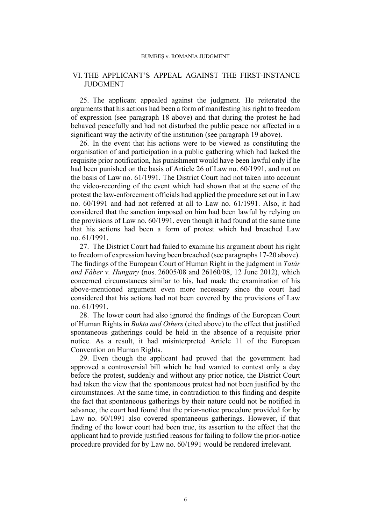# VI. THE APPLICANT'S APPEAL AGAINST THE FIRST-INSTANCE JUDGMENT

25. The applicant appealed against the judgment. He reiterated the arguments that his actions had been a form of manifesting his right to freedom of expression (see paragraph [18](#page-5-1) above) and that during the protest he had behaved peacefully and had not disturbed the public peace nor affected in a significant way the activity of the institution (see paragraph [19](#page-5-2) above).

<span id="page-7-0"></span>26. In the event that his actions were to be viewed as constituting the organisation of and participation in a public gathering which had lacked the requisite prior notification, his punishment would have been lawful only if he had been punished on the basis of Article 26 of Law no. 60/1991, and not on the basis of Law no. 61/1991. The District Court had not taken into account the video-recording of the event which had shown that at the scene of the protest the law-enforcement officials had applied the procedure set out in Law no. 60/1991 and had not referred at all to Law no. 61/1991. Also, it had considered that the sanction imposed on him had been lawful by relying on the provisions of Law no. 60/1991, even though it had found at the same time that his actions had been a form of protest which had breached Law no. 61/1991.

27. The District Court had failed to examine his argument about his right to freedom of expression having been breached (see paragraphs [17-](#page-5-0)[20](#page-6-0) above). The findings of the European Court of Human Right in the judgment in *Tatár and Fáber v. Hungary* (nos. 26005/08 and 26160/08, 12 June 2012), which concerned circumstances similar to his, had made the examination of his above-mentioned argument even more necessary since the court had considered that his actions had not been covered by the provisions of Law no. 61/1991.

28. The lower court had also ignored the findings of the European Court of Human Rights in *Bukta and Others* (cited above) to the effect that justified spontaneous gatherings could be held in the absence of a requisite prior notice. As a result, it had misinterpreted Article 11 of the European Convention on Human Rights.

29. Even though the applicant had proved that the government had approved a controversial bill which he had wanted to contest only a day before the protest, suddenly and without any prior notice, the District Court had taken the view that the spontaneous protest had not been justified by the circumstances. At the same time, in contradiction to this finding and despite the fact that spontaneous gatherings by their nature could not be notified in advance, the court had found that the prior-notice procedure provided for by Law no. 60/1991 also covered spontaneous gatherings. However, if that finding of the lower court had been true, its assertion to the effect that the applicant had to provide justified reasons for failing to follow the prior-notice procedure provided for by Law no. 60/1991 would be rendered irrelevant.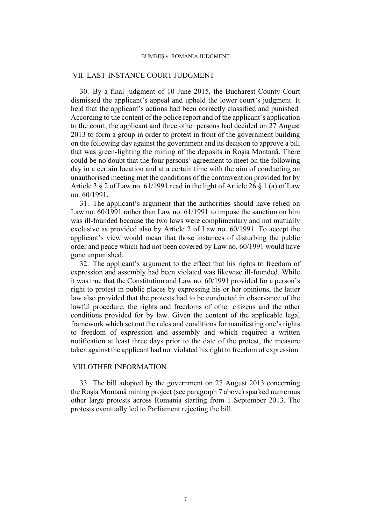## VII. LAST-INSTANCE COURT JUDGMENT

<span id="page-8-0"></span>30. By a final judgment of 10 June 2015, the Bucharest County Court dismissed the applicant's appeal and upheld the lower court's judgment. It held that the applicant's actions had been correctly classified and punished. According to the content of the police report and of the applicant's application to the court, the applicant and three other persons had decided on 27 August 2013 to form a group in order to protest in front of the government building on the following day against the government and its decision to approve a bill that was green-lighting the mining of the deposits in Roșia Montană. There could be no doubt that the four persons' agreement to meet on the following day in a certain location and at a certain time with the aim of conducting an unauthorised meeting met the conditions of the contravention provided for by Article 3 § 2 of Law no. 61/1991 read in the light of Article 26 § 1 (a) of Law no. 60/1991.

31. The applicant's argument that the authorities should have relied on Law no. 60/1991 rather than Law no. 61/1991 to impose the sanction on him was ill-founded because the two laws were complimentary and not mutually exclusive as provided also by Article 2 of Law no. 60/1991. To accept the applicant's view would mean that those instances of disturbing the public order and peace which had not been covered by Law no. 60/1991 would have gone unpunished.

<span id="page-8-1"></span>32. The applicant's argument to the effect that his rights to freedom of expression and assembly had been violated was likewise ill-founded. While it was true that the Constitution and Law no. 60/1991 provided for a person's right to protest in public places by expressing his or her opinions, the latter law also provided that the protests had to be conducted in observance of the lawful procedure, the rights and freedoms of other citizens and the other conditions provided for by law. Given the content of the applicable legal framework which set out the rules and conditions for manifesting one's rights to freedom of expression and assembly and which required a written notification at least three days prior to the date of the protest, the measure taken against the applicant had not violated his right to freedom of expression.

# VIII.OTHER INFORMATION

<span id="page-8-2"></span>33. The bill adopted by the government on 27 August 2013 concerning the Roșia Montană mining project (see paragraph [7](#page-3-0) above) sparked numerous other large protests across Romania starting from 1 September 2013. The protests eventually led to Parliament rejecting the bill.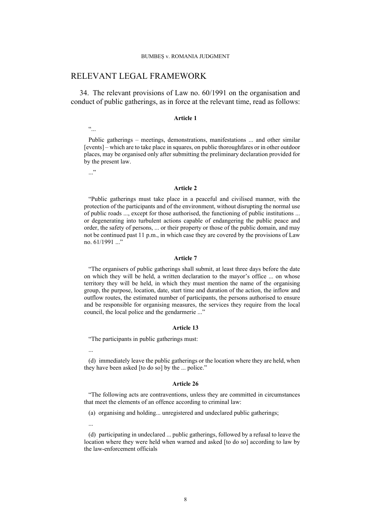# RELEVANT LEGAL FRAMEWORK

<span id="page-9-0"></span>34. The relevant provisions of Law no. 60/1991 on the organisation and conduct of public gatherings, as in force at the relevant time, read as follows:

#### **Article 1**

 $\ddot{\cdot}$ 

Public gatherings – meetings, demonstrations, manifestations ... and other similar [events] – which are to take place in squares, on public thoroughfares or in other outdoor places, may be organised only after submitting the preliminary declaration provided for by the present law.

..."

#### **Article 2**

"Public gatherings must take place in a peaceful and civilised manner, with the protection of the participants and of the environment, without disrupting the normal use of public roads ..., except for those authorised, the functioning of public institutions ... or degenerating into turbulent actions capable of endangering the public peace and order, the safety of persons, ... or their property or those of the public domain, and may not be continued past 11 p.m., in which case they are covered by the provisions of Law no. 61/1991 ..."

### **Article 7**

"The organisers of public gatherings shall submit, at least three days before the date on which they will be held, a written declaration to the mayor's office ... on whose territory they will be held, in which they must mention the name of the organising group, the purpose, location, date, start time and duration of the action, the inflow and outflow routes, the estimated number of participants, the persons authorised to ensure and be responsible for organising measures, the services they require from the local council, the local police and the gendarmerie ..."

#### **Article 13**

"The participants in public gatherings must:

...

(d) immediately leave the public gatherings or the location where they are held, when they have been asked [to do so] by the ... police."

#### **Article 26**

"The following acts are contraventions, unless they are committed in circumstances that meet the elements of an offence according to criminal law:

(a) organising and holding... unregistered and undeclared public gatherings;

...

(d) participating in undeclared ... public gatherings, followed by a refusal to leave the location where they were held when warned and asked [to do so] according to law by the law-enforcement officials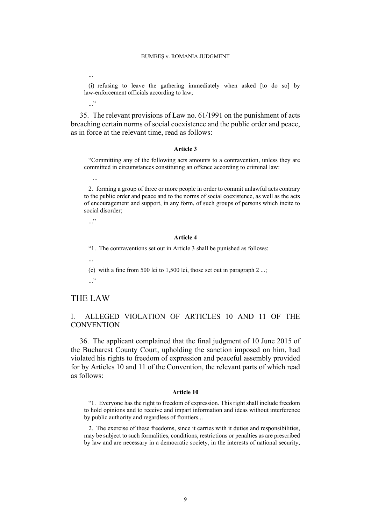...

(i) refusing to leave the gathering immediately when asked [to do so] by law-enforcement officials according to law;

 $\cdot$ ..."

<span id="page-10-0"></span>35. The relevant provisions of Law no. 61/1991 on the punishment of acts breaching certain norms of social coexistence and the public order and peace, as in force at the relevant time, read as follows:

#### **Article 3**

"Committing any of the following acts amounts to a contravention, unless they are committed in circumstances constituting an offence according to criminal law:

2. forming a group of three or more people in order to commit unlawful acts contrary to the public order and peace and to the norms of social coexistence, as well as the acts of encouragement and support, in any form, of such groups of persons which incite to social disorder;

..."

...

#### **Article 4**

"1. The contraventions set out in Article 3 shall be punished as follows:

(c) with a fine from 500 lei to 1,500 lei, those set out in paragraph 2 ...;

 $\cdot$ ..."

...

# THE LAW

# I. ALLEGED VIOLATION OF ARTICLES 10 AND 11 OF THE **CONVENTION**

36. The applicant complained that the final judgment of 10 June 2015 of the Bucharest County Court, upholding the sanction imposed on him, had violated his rights to freedom of expression and peaceful assembly provided for by Articles 10 and 11 of the Convention, the relevant parts of which read as follows:

#### **Article 10**

"1. Everyone has the right to freedom of expression. This right shall include freedom to hold opinions and to receive and impart information and ideas without interference by public authority and regardless of frontiers...

2. The exercise of these freedoms, since it carries with it duties and responsibilities, may be subject to such formalities, conditions, restrictions or penalties as are prescribed by law and are necessary in a democratic society, in the interests of national security,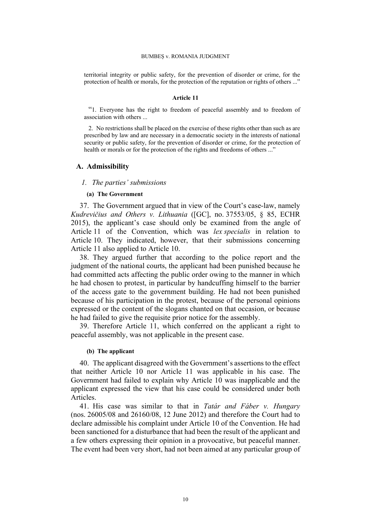territorial integrity or public safety, for the prevention of disorder or crime, for the protection of health or morals, for the protection of the reputation or rights of others ..."

#### **Article 11**

"1. Everyone has the right to freedom of peaceful assembly and to freedom of association with others ...

2. No restrictions shall be placed on the exercise of these rights other than such as are prescribed by law and are necessary in a democratic society in the interests of national security or public safety, for the prevention of disorder or crime, for the protection of health or morals or for the protection of the rights and freedoms of others ..."

### **A. Admissibility**

## *1. The parties' submissions*

## **(a) The Government**

<span id="page-11-3"></span>37. The Government argued that in view of the Court's case-law, namely *Kudrevičius and Others v. Lithuania* ([GC], no. 37553/05, § 85, ECHR 2015), the applicant's case should only be examined from the angle of Article 11 of the Convention, which was *lex specialis* in relation to Article 10. They indicated, however, that their submissions concerning Article 11 also applied to Article 10.

<span id="page-11-2"></span>38. They argued further that according to the police report and the judgment of the national courts, the applicant had been punished because he had committed acts affecting the public order owing to the manner in which he had chosen to protest, in particular by handcuffing himself to the barrier of the access gate to the government building. He had not been punished because of his participation in the protest, because of the personal opinions expressed or the content of the slogans chanted on that occasion, or because he had failed to give the requisite prior notice for the assembly.

39. Therefore Article 11, which conferred on the applicant a right to peaceful assembly, was not applicable in the present case.

## **(b) The applicant**

<span id="page-11-0"></span>40. The applicant disagreed with the Government's assertions to the effect that neither Article 10 nor Article 11 was applicable in his case. The Government had failed to explain why Article 10 was inapplicable and the applicant expressed the view that his case could be considered under both Articles.

<span id="page-11-1"></span>41. His case was similar to that in *Tatár and Fáber v. Hungary*  (nos. 26005/08 and 26160/08, 12 June 2012) and therefore the Court had to declare admissible his complaint under Article 10 of the Convention. He had been sanctioned for a disturbance that had been the result of the applicant and a few others expressing their opinion in a provocative, but peaceful manner. The event had been very short, had not been aimed at any particular group of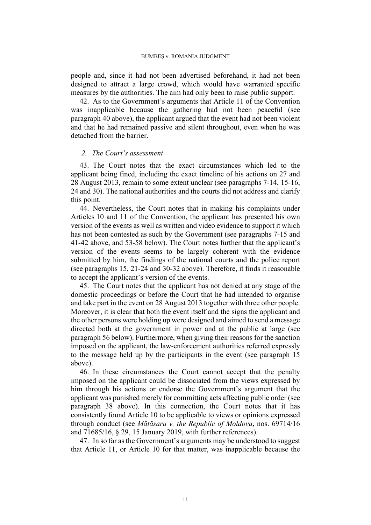people and, since it had not been advertised beforehand, it had not been designed to attract a large crowd, which would have warranted specific measures by the authorities. The aim had only been to raise public support.

<span id="page-12-0"></span>42. As to the Government's arguments that Article 11 of the Convention was inapplicable because the gathering had not been peaceful (see paragraph [40](#page-11-0) above), the applicant argued that the event had not been violent and that he had remained passive and silent throughout, even when he was detached from the barrier.

# *2. The Court's assessment*

43. The Court notes that the exact circumstances which led to the applicant being fined, including the exact timeline of his actions on 27 and 28 August 2013, remain to some extent unclear (see paragraphs [7-](#page-3-0)[14,](#page-4-0) [15-](#page-4-1)[16,](#page-5-3) [24](#page-6-1) and [30](#page-8-0)). The national authorities and the courts did not address and clarify this point.

<span id="page-12-2"></span>44. Nevertheless, the Court notes that in making his complaints under Articles 10 and 11 of the Convention, the applicant has presented his own version of the events as well as written and video evidence to support it which has not been contested as such by the Government (see paragraphs [7](#page-3-0)[-15](#page-4-1) and [41-](#page-11-1)[42](#page-12-0) above, and [53-](#page-14-0)[58](#page-15-0) below). The Court notes further that the applicant's version of the events seems to be largely coherent with the evidence submitted by him, the findings of the national courts and the police report (see paragraphs [15,](#page-4-1) [21-](#page-6-2)[24](#page-6-1) and [30-](#page-8-0)[32](#page-8-1) above). Therefore, it finds it reasonable to accept the applicant's version of the events.

<span id="page-12-1"></span>45. The Court notes that the applicant has not denied at any stage of the domestic proceedings or before the Court that he had intended to organise and take part in the event on 28 August 2013 together with three other people. Moreover, it is clear that both the event itself and the signs the applicant and the other persons were holding up were designed and aimed to send a message directed both at the government in power and at the public at large (see paragraph [56](#page-15-1) below). Furthermore, when giving their reasons for the sanction imposed on the applicant, the law-enforcement authorities referred expressly to the message held up by the participants in the event (see paragraph [15](#page-4-1)  above).

46. In these circumstances the Court cannot accept that the penalty imposed on the applicant could be dissociated from the views expressed by him through his actions or endorse the Government's argument that the applicant was punished merely for committing acts affecting public order (see paragraph [38](#page-11-2) above). In this connection, the Court notes that it has consistently found Article 10 to be applicable to views or opinions expressed through conduct (see *Mătăsaru v. the Republic of Moldova*, nos. 69714/16 and 71685/16, § 29, 15 January 2019, with further references).

47. In so far as the Government's arguments may be understood to suggest that Article 11, or Article 10 for that matter, was inapplicable because the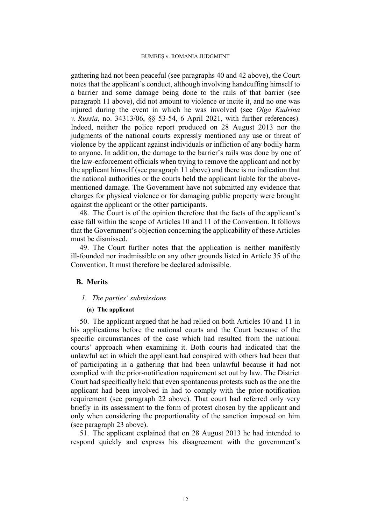gathering had not been peaceful (see paragraphs [40](#page-11-0) and [42](#page-12-0) above), the Court notes that the applicant's conduct, although involving handcuffing himself to a barrier and some damage being done to the rails of that barrier (see paragraph [11](#page-4-2) above), did not amount to violence or incite it, and no one was injured during the event in which he was involved (see *Olga Kudrina v. Russia*, no. 34313/06, §§ 53-54, 6 April 2021, with further references). Indeed, neither the police report produced on 28 August 2013 nor the judgments of the national courts expressly mentioned any use or threat of violence by the applicant against individuals or infliction of any bodily harm to anyone. In addition, the damage to the barrier's rails was done by one of the law-enforcement officials when trying to remove the applicant and not by the applicant himself (see paragraph [11](#page-4-2) above) and there is no indication that the national authorities or the courts held the applicant liable for the abovementioned damage. The Government have not submitted any evidence that charges for physical violence or for damaging public property were brought against the applicant or the other participants.

48. The Court is of the opinion therefore that the facts of the applicant's case fall within the scope of Articles 10 and 11 of the Convention. It follows that the Government's objection concerning the applicability of these Articles must be dismissed.

49. The Court further notes that the application is neither manifestly ill-founded nor inadmissible on any other grounds listed in Article 35 of the Convention. It must therefore be declared admissible.

## **B. Merits**

## *1. The parties' submissions*

## **(a) The applicant**

<span id="page-13-0"></span>50. The applicant argued that he had relied on both Articles 10 and 11 in his applications before the national courts and the Court because of the specific circumstances of the case which had resulted from the national courts' approach when examining it. Both courts had indicated that the unlawful act in which the applicant had conspired with others had been that of participating in a gathering that had been unlawful because it had not complied with the prior-notification requirement set out by law. The District Court had specifically held that even spontaneous protests such as the one the applicant had been involved in had to comply with the prior-notification requirement (see paragraph [22](#page-6-3) above). That court had referred only very briefly in its assessment to the form of protest chosen by the applicant and only when considering the proportionality of the sanction imposed on him (see paragraph [23](#page-6-4) above).

<span id="page-13-1"></span>51. The applicant explained that on 28 August 2013 he had intended to respond quickly and express his disagreement with the government's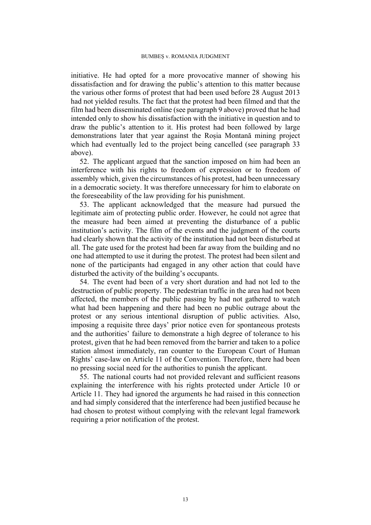initiative. He had opted for a more provocative manner of showing his dissatisfaction and for drawing the public's attention to this matter because the various other forms of protest that had been used before 28 August 2013 had not yielded results. The fact that the protest had been filmed and that the film had been disseminated online (see paragraph [9](#page-3-1) above) proved that he had intended only to show his dissatisfaction with the initiative in question and to draw the public's attention to it. His protest had been followed by large demonstrations later that year against the Roșia Montană mining project which had eventually led to the project being cancelled (see paragraph [33](#page-8-2)  above).

<span id="page-14-2"></span>52. The applicant argued that the sanction imposed on him had been an interference with his rights to freedom of expression or to freedom of assembly which, given the circumstances of his protest, had been unnecessary in a democratic society. It was therefore unnecessary for him to elaborate on the foreseeability of the law providing for his punishment.

<span id="page-14-0"></span>53. The applicant acknowledged that the measure had pursued the legitimate aim of protecting public order. However, he could not agree that the measure had been aimed at preventing the disturbance of a public institution's activity. The film of the events and the judgment of the courts had clearly shown that the activity of the institution had not been disturbed at all. The gate used for the protest had been far away from the building and no one had attempted to use it during the protest. The protest had been silent and none of the participants had engaged in any other action that could have disturbed the activity of the building's occupants.

<span id="page-14-1"></span>54. The event had been of a very short duration and had not led to the destruction of public property. The pedestrian traffic in the area had not been affected, the members of the public passing by had not gathered to watch what had been happening and there had been no public outrage about the protest or any serious intentional disruption of public activities. Also, imposing a requisite three days' prior notice even for spontaneous protests and the authorities' failure to demonstrate a high degree of tolerance to his protest, given that he had been removed from the barrier and taken to a police station almost immediately, ran counter to the European Court of Human Rights' case-law on Article 11 of the Convention. Therefore, there had been no pressing social need for the authorities to punish the applicant.

55. The national courts had not provided relevant and sufficient reasons explaining the interference with his rights protected under Article 10 or Article 11. They had ignored the arguments he had raised in this connection and had simply considered that the interference had been justified because he had chosen to protest without complying with the relevant legal framework requiring a prior notification of the protest.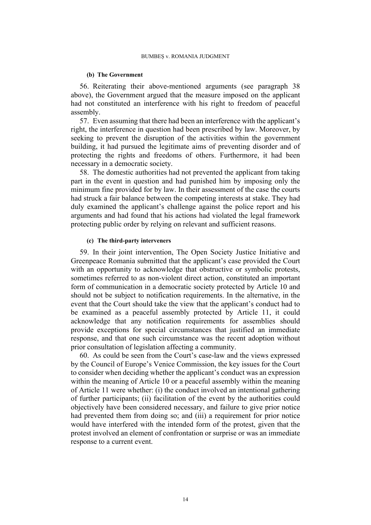#### **(b) The Government**

<span id="page-15-1"></span>56. Reiterating their above-mentioned arguments (see paragraph [38](#page-11-2)  above), the Government argued that the measure imposed on the applicant had not constituted an interference with his right to freedom of peaceful assembly.

<span id="page-15-3"></span>57. Even assuming that there had been an interference with the applicant's right, the interference in question had been prescribed by law. Moreover, by seeking to prevent the disruption of the activities within the government building, it had pursued the legitimate aims of preventing disorder and of protecting the rights and freedoms of others. Furthermore, it had been necessary in a democratic society.

<span id="page-15-0"></span>58. The domestic authorities had not prevented the applicant from taking part in the event in question and had punished him by imposing only the minimum fine provided for by law. In their assessment of the case the courts had struck a fair balance between the competing interests at stake. They had duly examined the applicant's challenge against the police report and his arguments and had found that his actions had violated the legal framework protecting public order by relying on relevant and sufficient reasons.

## **(c) The third-party interveners**

<span id="page-15-2"></span>59. In their joint intervention, The Open Society Justice Initiative and Greenpeace Romania submitted that the applicant's case provided the Court with an opportunity to acknowledge that obstructive or symbolic protests, sometimes referred to as non-violent direct action, constituted an important form of communication in a democratic society protected by Article 10 and should not be subject to notification requirements. In the alternative, in the event that the Court should take the view that the applicant's conduct had to be examined as a peaceful assembly protected by Article 11, it could acknowledge that any notification requirements for assemblies should provide exceptions for special circumstances that justified an immediate response, and that one such circumstance was the recent adoption without prior consultation of legislation affecting a community.

60. As could be seen from the Court's case-law and the views expressed by the Council of Europe's Venice Commission, the key issues for the Court to consider when deciding whether the applicant's conduct was an expression within the meaning of Article 10 or a peaceful assembly within the meaning of Article 11 were whether: (i) the conduct involved an intentional gathering of further participants; (ii) facilitation of the event by the authorities could objectively have been considered necessary, and failure to give prior notice had prevented them from doing so; and (iii) a requirement for prior notice would have interfered with the intended form of the protest, given that the protest involved an element of confrontation or surprise or was an immediate response to a current event.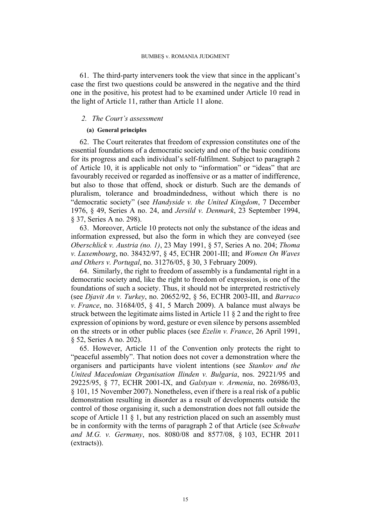<span id="page-16-0"></span>61. The third-party interveners took the view that since in the applicant's case the first two questions could be answered in the negative and the third one in the positive, his protest had to be examined under Article 10 read in the light of Article 11, rather than Article 11 alone.

## *2. The Court's assessment*

## **(a) General principles**

62. The Court reiterates that freedom of expression constitutes one of the essential foundations of a democratic society and one of the basic conditions for its progress and each individual's self-fulfilment. Subject to paragraph 2 of Article 10, it is applicable not only to "information" or "ideas" that are favourably received or regarded as inoffensive or as a matter of indifference, but also to those that offend, shock or disturb. Such are the demands of pluralism, tolerance and broadmindedness, without which there is no "democratic society" (see *Handyside v. the United Kingdom*, 7 December 1976, § 49, Series A no. 24, and *Jersild v. Denmark*, 23 September 1994, § 37, Series A no. 298).

63. Moreover, Article 10 protects not only the substance of the ideas and information expressed, but also the form in which they are conveyed (see *Oberschlick v. Austria (no. 1)*, 23 May 1991, § 57, Series A no. 204; *Thoma v. Luxembourg*, no. 38432/97, § 45, ECHR 2001-III; and *Women On Waves and Others v. Portugal*, no. 31276/05, § 30, 3 February 2009).

64. Similarly, the right to freedom of assembly is a fundamental right in a democratic society and, like the right to freedom of expression, is one of the foundations of such a society. Thus, it should not be interpreted restrictively (see *Djavit An v. Turkey*, no. 20652/92, § 56, ECHR 2003-III, and *Barraco v. France*, no. 31684/05, § 41, 5 March 2009). A balance must always be struck between the legitimate aims listed in Article 11 § 2 and the right to free expression of opinions by word, gesture or even silence by persons assembled on the streets or in other public places (see *Ezelin v. France*, 26 April 1991, § 52, Series A no. 202).

65. However, Article 11 of the Convention only protects the right to "peaceful assembly". That notion does not cover a demonstration where the organisers and participants have violent intentions (see *Stankov and the United Macedonian Organisation Ilinden v. Bulgaria*, nos. 29221/95 and 29225/95, § 77, ECHR 2001-IX, and *Galstyan v. Armenia*, no. 26986/03, § 101, 15 November 2007). Nonetheless, even if there is a real risk of a public demonstration resulting in disorder as a result of developments outside the control of those organising it, such a demonstration does not fall outside the scope of Article 11  $\S$  1, but any restriction placed on such an assembly must be in conformity with the terms of paragraph 2 of that Article (see *Schwabe and M.G. v. Germany*, nos. 8080/08 and 8577/08, § 103, ECHR 2011 (extracts)).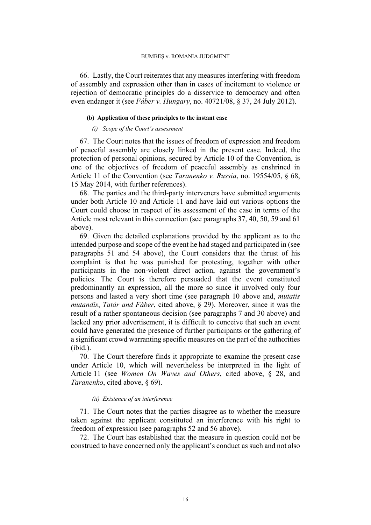66. Lastly, the Court reiterates that any measures interfering with freedom of assembly and expression other than in cases of incitement to violence or rejection of democratic principles do a disservice to democracy and often even endanger it (see *Fáber v. Hungary*, no. 40721/08, § 37, 24 July 2012).

## **(b) Application of these principles to the instant case**

### *(i) Scope of the Court's assessment*

67. The Court notes that the issues of freedom of expression and freedom of peaceful assembly are closely linked in the present case. Indeed, the protection of personal opinions, secured by Article 10 of the Convention, is one of the objectives of freedom of peaceful assembly as enshrined in Article 11 of the Convention (see *Taranenko v. Russia*, no. 19554/05, § 68, 15 May 2014, with further references).

68. The parties and the third-party interveners have submitted arguments under both Article 10 and Article 11 and have laid out various options the Court could choose in respect of its assessment of the case in terms of the Article most relevant in this connection (see paragraphs [37,](#page-11-3) [40,](#page-11-0) [50](#page-13-0), [59](#page-15-2) and [61](#page-16-0)  above).

<span id="page-17-0"></span>69. Given the detailed explanations provided by the applicant as to the intended purpose and scope of the event he had staged and participated in (see paragraphs [51](#page-13-1) and [54](#page-14-1) above), the Court considers that the thrust of his complaint is that he was punished for protesting, together with other participants in the non-violent direct action, against the government's policies. The Court is therefore persuaded that the event constituted predominantly an expression, all the more so since it involved only four persons and lasted a very short time (see paragraph [10](#page-3-2) above and, *mutatis mutandis*, *Tatár and Fáber*, cited above, § 29). Moreover, since it was the result of a rather spontaneous decision (see paragraphs [7](#page-3-0) and [30](#page-8-0) above) and lacked any prior advertisement, it is difficult to conceive that such an event could have generated the presence of further participants or the gathering of a significant crowd warranting specific measures on the part of the authorities  $(i$ hid.)

70. The Court therefore finds it appropriate to examine the present case under Article 10, which will nevertheless be interpreted in the light of Article 11 (see *Women On Waves and Others*, cited above, § 28, and *Taranenko*, cited above, § 69).

### *(ii) Existence of an interference*

71. The Court notes that the parties disagree as to whether the measure taken against the applicant constituted an interference with his right to freedom of expression (see paragraphs [52](#page-14-2) and [56](#page-15-1) above).

72. The Court has established that the measure in question could not be construed to have concerned only the applicant's conduct as such and not also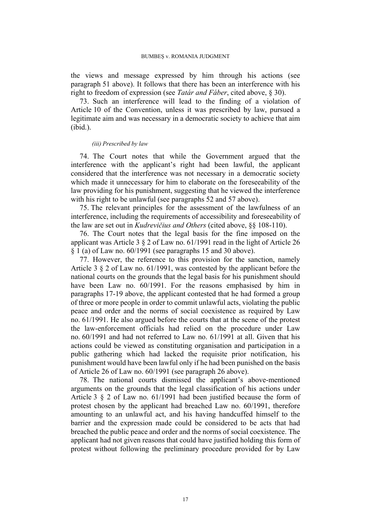the views and message expressed by him through his actions (see paragraph [51](#page-13-1) above). It follows that there has been an interference with his right to freedom of expression (see *Tatár and Fáber*, cited above, § 30).

73. Such an interference will lead to the finding of a violation of Article 10 of the Convention, unless it was prescribed by law, pursued a legitimate aim and was necessary in a democratic society to achieve that aim (ibid.).

### *(iii) Prescribed by law*

74. The Court notes that while the Government argued that the interference with the applicant's right had been lawful, the applicant considered that the interference was not necessary in a democratic society which made it unnecessary for him to elaborate on the foreseeability of the law providing for his punishment, suggesting that he viewed the interference with his right to be unlawful (see paragraphs [52](#page-14-2) and [57](#page-15-3) above).

75. The relevant principles for the assessment of the lawfulness of an interference, including the requirements of accessibility and foreseeability of the law are set out in *Kudrevičius and Others* (cited above, §§ 108-110).

76. The Court notes that the legal basis for the fine imposed on the applicant was Article 3 § 2 of Law no. 61/1991 read in the light of Article 26 § 1 (a) of Law no. 60/1991 (see paragraphs [15](#page-4-1) and [30](#page-8-0) above).

77. However, the reference to this provision for the sanction, namely Article 3 § 2 of Law no. 61/1991, was contested by the applicant before the national courts on the grounds that the legal basis for his punishment should have been Law no. 60/1991. For the reasons emphasised by him in paragraphs [17](#page-5-0)[-19](#page-5-2) above, the applicant contested that he had formed a group of three or more people in order to commit unlawful acts, violating the public peace and order and the norms of social coexistence as required by Law no. 61/1991. He also argued before the courts that at the scene of the protest the law-enforcement officials had relied on the procedure under Law no. 60/1991 and had not referred to Law no. 61/1991 at all. Given that his actions could be viewed as constituting organisation and participation in a public gathering which had lacked the requisite prior notification, his punishment would have been lawful only if he had been punished on the basis of Article 26 of Law no. 60/1991 (see paragraph [26](#page-7-0) above).

<span id="page-18-0"></span>78. The national courts dismissed the applicant's above-mentioned arguments on the grounds that the legal classification of his actions under Article 3 § 2 of Law no. 61/1991 had been justified because the form of protest chosen by the applicant had breached Law no. 60/1991, therefore amounting to an unlawful act, and his having handcuffed himself to the barrier and the expression made could be considered to be acts that had breached the public peace and order and the norms of social coexistence. The applicant had not given reasons that could have justified holding this form of protest without following the preliminary procedure provided for by Law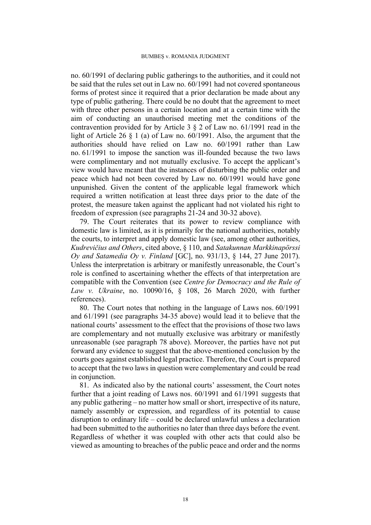no. 60/1991 of declaring public gatherings to the authorities, and it could not be said that the rules set out in Law no. 60/1991 had not covered spontaneous forms of protest since it required that a prior declaration be made about any type of public gathering. There could be no doubt that the agreement to meet with three other persons in a certain location and at a certain time with the aim of conducting an unauthorised meeting met the conditions of the contravention provided for by Article 3 § 2 of Law no. 61/1991 read in the light of Article 26 § 1 (a) of Law no. 60/1991. Also, the argument that the authorities should have relied on Law no. 60/1991 rather than Law no. 61/1991 to impose the sanction was ill-founded because the two laws were complimentary and not mutually exclusive. To accept the applicant's view would have meant that the instances of disturbing the public order and peace which had not been covered by Law no. 60/1991 would have gone unpunished. Given the content of the applicable legal framework which required a written notification at least three days prior to the date of the protest, the measure taken against the applicant had not violated his right to freedom of expression (see paragraphs [21-](#page-6-2)[24](#page-6-1) and [30](#page-8-0)[-32](#page-8-1) above).

79. The Court reiterates that its power to review compliance with domestic law is limited, as it is primarily for the national authorities, notably the courts, to interpret and apply domestic law (see, among other authorities, *Kudrevičius and Others*, cited above, § 110, and *Satakunnan Markkinapörssi Oy and Satamedia Oy v. Finland* [GC], no. 931/13, § 144, 27 June 2017). Unless the interpretation is arbitrary or manifestly unreasonable, the Court's role is confined to ascertaining whether the effects of that interpretation are compatible with the Convention (see *Centre for Democracy and the Rule of Law v. Ukraine*, no. 10090/16, § 108, 26 March 2020, with further references).

80. The Court notes that nothing in the language of Laws nos. 60/1991 and 61/1991 (see paragraphs [34](#page-9-0)[-35](#page-10-0) above) would lead it to believe that the national courts' assessment to the effect that the provisions of those two laws are complementary and not mutually exclusive was arbitrary or manifestly unreasonable (see paragraph [78](#page-18-0) above). Moreover, the parties have not put forward any evidence to suggest that the above-mentioned conclusion by the courts goes against established legal practice. Therefore, the Court is prepared to accept that the two laws in question were complementary and could be read in conjunction.

81. As indicated also by the national courts' assessment, the Court notes further that a joint reading of Laws nos. 60/1991 and 61/1991 suggests that any public gathering – no matter how small or short, irrespective of its nature, namely assembly or expression, and regardless of its potential to cause disruption to ordinary life – could be declared unlawful unless a declaration had been submitted to the authorities no later than three days before the event. Regardless of whether it was coupled with other acts that could also be viewed as amounting to breaches of the public peace and order and the norms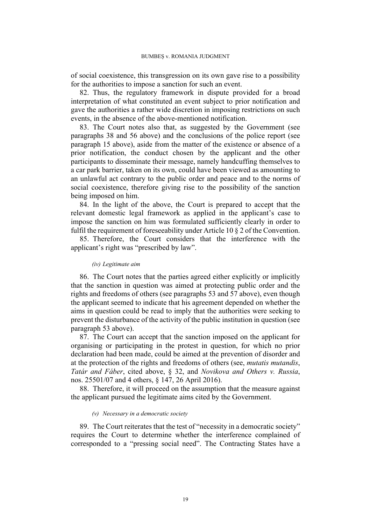of social coexistence, this transgression on its own gave rise to a possibility for the authorities to impose a sanction for such an event.

82. Thus, the regulatory framework in dispute provided for a broad interpretation of what constituted an event subject to prior notification and gave the authorities a rather wide discretion in imposing restrictions on such events, in the absence of the above-mentioned notification.

83. The Court notes also that, as suggested by the Government (see paragraphs [38](#page-11-2) and [56](#page-15-1) above) and the conclusions of the police report (see paragraph [15](#page-4-1) above), aside from the matter of the existence or absence of a prior notification, the conduct chosen by the applicant and the other participants to disseminate their message, namely handcuffing themselves to a car park barrier, taken on its own, could have been viewed as amounting to an unlawful act contrary to the public order and peace and to the norms of social coexistence, therefore giving rise to the possibility of the sanction being imposed on him.

84. In the light of the above, the Court is prepared to accept that the relevant domestic legal framework as applied in the applicant's case to impose the sanction on him was formulated sufficiently clearly in order to fulfil the requirement of foreseeability under Article 10 § 2 of the Convention.

85. Therefore, the Court considers that the interference with the applicant's right was "prescribed by law".

### *(iv) Legitimate aim*

86. The Court notes that the parties agreed either explicitly or implicitly that the sanction in question was aimed at protecting public order and the rights and freedoms of others (see paragraphs [53](#page-14-0) and [57](#page-15-3) above), even though the applicant seemed to indicate that his agreement depended on whether the aims in question could be read to imply that the authorities were seeking to prevent the disturbance of the activity of the public institution in question (see paragraph [53](#page-14-0) above).

87. The Court can accept that the sanction imposed on the applicant for organising or participating in the protest in question, for which no prior declaration had been made, could be aimed at the prevention of disorder and at the protection of the rights and freedoms of others (see, *mutatis mutandis*, *Tatár and Fáber*, cited above, § 32, and *Novikova and Others v. Russia*, nos. 25501/07 and 4 others, § 147, 26 April 2016).

88. Therefore, it will proceed on the assumption that the measure against the applicant pursued the legitimate aims cited by the Government.

## *(v) Necessary in a democratic society*

89. The Court reiterates that the test of "necessity in a democratic society" requires the Court to determine whether the interference complained of corresponded to a "pressing social need". The Contracting States have a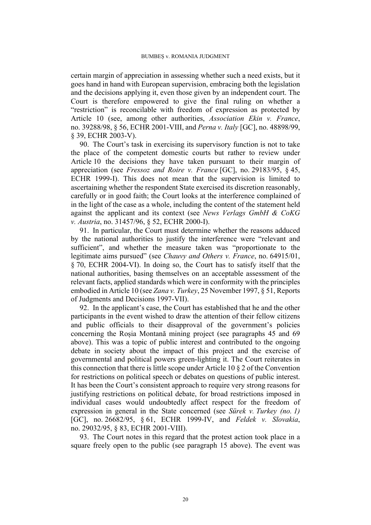certain margin of appreciation in assessing whether such a need exists, but it goes hand in hand with European supervision, embracing both the legislation and the decisions applying it, even those given by an independent court. The Court is therefore empowered to give the final ruling on whether a "restriction" is reconcilable with freedom of expression as protected by Article 10 (see, among other authorities, *Association Ekin v. France*, no. 39288/98, § 56, ECHR 2001-VIII, and *Perna v. Italy* [GC], no. 48898/99, § 39, ECHR 2003-V).

90. The Court's task in exercising its supervisory function is not to take the place of the competent domestic courts but rather to review under Article 10 the decisions they have taken pursuant to their margin of appreciation (see *Fressoz and Roire v. France* [GC], no. [29183/95](https://hudoc.echr.coe.int/eng#%7B%22appno%22:%5B%2229183/95%22%5D%7D), § 45, ECHR 1999-I). This does not mean that the supervision is limited to ascertaining whether the respondent State exercised its discretion reasonably, carefully or in good faith; the Court looks at the interference complained of in the light of the case as a whole, including the content of the statement held against the applicant and its context (see *News Verlags GmbH & CoKG v. Austria*, no. [31457/96,](https://hudoc.echr.coe.int/eng#%7B%22appno%22:%5B%2231457/96%22%5D%7D) § 52, ECHR 2000-I).

<span id="page-21-0"></span>91. In particular, the Court must determine whether the reasons adduced by the national authorities to justify the interference were "relevant and sufficient", and whether the measure taken was "proportionate to the legitimate aims pursued" (see *Chauvy and Others v. France*, no. [64915/01,](https://hudoc.echr.coe.int/eng#%7B%22appno%22:%5B%2264915/01%22%5D%7D) § 70, ECHR 2004-VI). In doing so, the Court has to satisfy itself that the national authorities, basing themselves on an acceptable assessment of the relevant facts, applied standards which were in conformity with the principles embodied in Article 10 (see *Zana v. Turkey*, 25 November 1997, § 51, Reports of Judgments and Decisions 1997-VII).

<span id="page-21-1"></span>92. In the applicant's case, the Court has established that he and the other participants in the event wished to draw the attention of their fellow citizens and public officials to their disapproval of the government's policies concerning the Roșia Montană mining project (see paragraphs [45](#page-12-1) and [69](#page-17-0)  above). This was a topic of public interest and contributed to the ongoing debate in society about the impact of this project and the exercise of governmental and political powers green-lighting it. The Court reiterates in this connection that there is little scope under Article 10 § 2 of the Convention for restrictions on political speech or debates on questions of public interest. It has been the Court's consistent approach to require very strong reasons for justifying restrictions on political debate, for broad restrictions imposed in individual cases would undoubtedly affect respect for the freedom of expression in general in the State concerned (see *Sürek v. Turkey (no. 1)* [GC], no. [26682/95,](https://hudoc.echr.coe.int/eng#%7B%22appno%22:%5B%2226682/95%22%5D%7D) § 61, ECHR 1999-IV, and *Feldek v. Slovakia*, no. [29032/95](https://hudoc.echr.coe.int/eng#%7B%22appno%22:%5B%2229032/95%22%5D%7D), § 83, ECHR 2001-VIII).

93. The Court notes in this regard that the protest action took place in a square freely open to the public (see paragraph [15](#page-4-1) above). The event was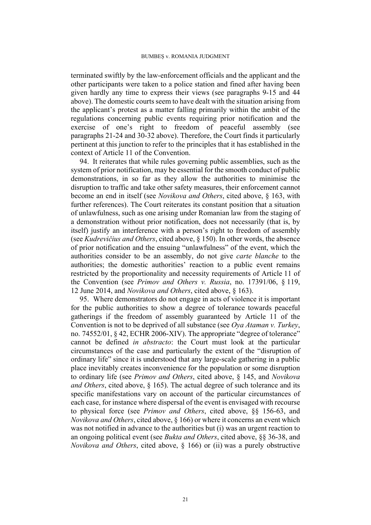terminated swiftly by the law-enforcement officials and the applicant and the other participants were taken to a police station and fined after having been given hardly any time to express their views (see paragraphs [9](#page-3-1)[-15](#page-4-1) and [44](#page-12-2)  above). The domestic courts seem to have dealt with the situation arising from the applicant's protest as a matter falling primarily within the ambit of the regulations concerning public events requiring prior notification and the exercise of one's right to freedom of peaceful assembly (see paragraphs [21](#page-6-2)[-24](#page-6-1) and [30](#page-8-0)[-32](#page-8-1) above). Therefore, the Court finds it particularly pertinent at this junction to refer to the principles that it has established in the context of Article 11 of the Convention.

<span id="page-22-0"></span>94. It reiterates that while rules governing public assemblies, such as the system of prior notification, may be essential for the smooth conduct of public demonstrations, in so far as they allow the authorities to minimise the disruption to traffic and take other safety measures, their enforcement cannot become an end in itself (see *Novikova and Others*, cited above, § 163, with further references). The Court reiterates its constant position that a situation of unlawfulness, such as one arising under Romanian law from the staging of a demonstration without prior notification, does not necessarily (that is, by itself) justify an interference with a person's right to freedom of assembly (see *Kudrevičius and Others*, cited above, § 150). In other words, the absence of prior notification and the ensuing "unlawfulness" of the event, which the authorities consider to be an assembly, do not give *carte blanche* to the authorities; the domestic authorities' reaction to a public event remains restricted by the proportionality and necessity requirements of Article 11 of the Convention (see *Primov and Others v. Russia*, no. 17391/06, § 119, 12 June 2014, and *Novikova and Others*, cited above, § 163).

<span id="page-22-1"></span>95. Where demonstrators do not engage in acts of violence it is important for the public authorities to show a degree of tolerance towards peaceful gatherings if the freedom of assembly guaranteed by Article 11 of the Convention is not to be deprived of all substance (see *Oya Ataman v. Turkey*, no. 74552/01, § 42, ECHR 2006-XIV). The appropriate "degree of tolerance" cannot be defined *in abstracto*: the Court must look at the particular circumstances of the case and particularly the extent of the "disruption of ordinary life" since it is understood that any large-scale gathering in a public place inevitably creates inconvenience for the population or some disruption to ordinary life (see *Primov and Others*, cited above, § 145, and *Novikova and Others*, cited above, § 165). The actual degree of such tolerance and its specific manifestations vary on account of the particular circumstances of each case, for instance where dispersal of the event is envisaged with recourse to physical force (see *Primov and Others*, cited above, §§ 156-63, and *Novikova and Others*, cited above, § 166) or where it concerns an event which was not notified in advance to the authorities but (i) was an urgent reaction to an ongoing political event (see *Bukta and Others*, cited above, §§ 36-38, and *Novikova and Others*, cited above, § 166) or (ii) was a purely obstructive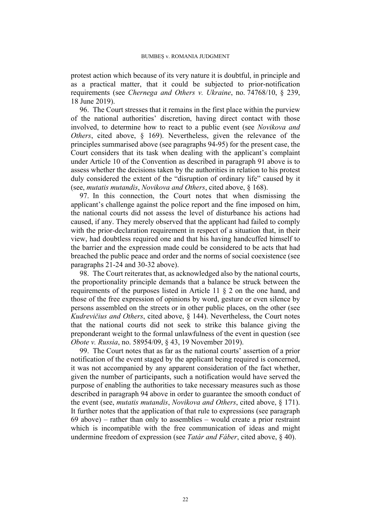protest action which because of its very nature it is doubtful, in principle and as a practical matter, that it could be subjected to prior-notification requirements (see *Chernega and Others v. Ukraine*, no. 74768/10, § 239, 18 June 2019).

96. The Court stresses that it remains in the first place within the purview of the national authorities' discretion, having direct contact with those involved, to determine how to react to a public event (see *Novikova and Others*, cited above, § 169). Nevertheless, given the relevance of the principles summarised above (see paragraphs [94-](#page-22-0)[95\)](#page-22-1) for the present case, the Court considers that its task when dealing with the applicant's complaint under Article 10 of the Convention as described in paragraph [91](#page-21-0) above is to assess whether the decisions taken by the authorities in relation to his protest duly considered the extent of the "disruption of ordinary life" caused by it (see, *mutatis mutandis*, *Novikova and Others*, cited above, § 168).

97. In this connection, the Court notes that when dismissing the applicant's challenge against the police report and the fine imposed on him, the national courts did not assess the level of disturbance his actions had caused, if any. They merely observed that the applicant had failed to comply with the prior-declaration requirement in respect of a situation that, in their view, had doubtless required one and that his having handcuffed himself to the barrier and the expression made could be considered to be acts that had breached the public peace and order and the norms of social coexistence (see paragraphs [21](#page-6-2)[-24](#page-6-1) and [30-](#page-8-0)[32](#page-8-1) above).

98. The Court reiterates that, as acknowledged also by the national courts, the proportionality principle demands that a balance be struck between the requirements of the purposes listed in Article 11 § 2 on the one hand, and those of the free expression of opinions by word, gesture or even silence by persons assembled on the streets or in other public places, on the other (see *Kudrevičius and Others*, cited above, § 144). Nevertheless, the Court notes that the national courts did not seek to strike this balance giving the preponderant weight to the formal unlawfulness of the event in question (see *Obote v. Russia*, no. 58954/09, § 43, 19 November 2019).

99. The Court notes that as far as the national courts' assertion of a prior notification of the event staged by the applicant being required is concerned, it was not accompanied by any apparent consideration of the fact whether, given the number of participants, such a notification would have served the purpose of enabling the authorities to take necessary measures such as those described in paragraph [94](#page-22-0) above in order to guarantee the smooth conduct of the event (see, *mutatis mutandis*, *Novikova and Others*, cited above, § 171). It further notes that the application of that rule to expressions (see paragraph [69](#page-17-0) above) – rather than only to assemblies – would create a prior restraint which is incompatible with the free communication of ideas and might undermine freedom of expression (see *Tatár and Fáber*, cited above, § 40).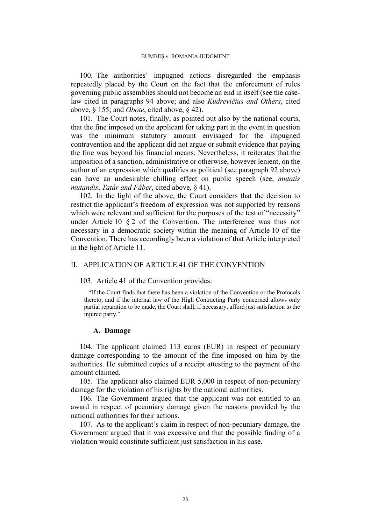100. The authorities' impugned actions disregarded the emphasis repeatedly placed by the Court on the fact that the enforcement of rules governing public assemblies should not become an end in itself (see the caselaw cited in paragraphs [94](#page-22-0) above; and also *Kudrevičius and Others*, cited above, § 155; and *Obote*, cited above, § 42).

101. The Court notes, finally, as pointed out also by the national courts, that the fine imposed on the applicant for taking part in the event in question was the minimum statutory amount envisaged for the impugned contravention and the applicant did not argue or submit evidence that paying the fine was beyond his financial means. Nevertheless, it reiterates that the imposition of a sanction, administrative or otherwise, however lenient, on the author of an expression which qualifies as political (see paragraph [92](#page-21-1) above) can have an undesirable chilling effect on public speech (see, *mutatis mutandis*, *Tatár and Fáber*, cited above, § 41).

102. In the light of the above, the Court considers that the decision to restrict the applicant's freedom of expression was not supported by reasons which were relevant and sufficient for the purposes of the test of "necessity" under Article 10 § 2 of the Convention. The interference was thus not necessary in a democratic society within the meaning of Article 10 of the Convention. There has accordingly been a violation of that Article interpreted in the light of Article 11.

# II. APPLICATION OF ARTICLE 41 OF THE CONVENTION

103. Article 41 of the Convention provides:

"If the Court finds that there has been a violation of the Convention or the Protocols thereto, and if the internal law of the High Contracting Party concerned allows only partial reparation to be made, the Court shall, if necessary, afford just satisfaction to the injured party."

## **A. Damage**

104. The applicant claimed 113 euros (EUR) in respect of pecuniary damage corresponding to the amount of the fine imposed on him by the authorities. He submitted copies of a receipt attesting to the payment of the amount claimed.

105. The applicant also claimed EUR 5,000 in respect of non-pecuniary damage for the violation of his rights by the national authorities.

106. The Government argued that the applicant was not entitled to an award in respect of pecuniary damage given the reasons provided by the national authorities for their actions.

107. As to the applicant's claim in respect of non-pecuniary damage, the Government argued that it was excessive and that the possible finding of a violation would constitute sufficient just satisfaction in his case.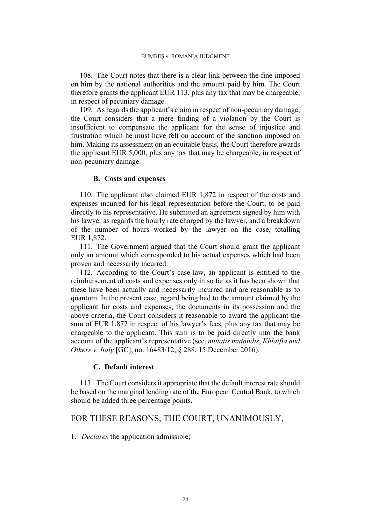108. The Court notes that there is a clear link between the fine imposed on him by the national authorities and the amount paid by him. The Court therefore grants the applicant EUR 113, plus any tax that may be chargeable, in respect of pecuniary damage.

109. As regards the applicant's claim in respect of non-pecuniary damage, the Court considers that a mere finding of a violation by the Court is insufficient to compensate the applicant for the sense of injustice and frustration which he must have felt on account of the sanction imposed on him. Making its assessment on an equitable basis, the Court therefore awards the applicant EUR 5,000, plus any tax that may be chargeable, in respect of non-pecuniary damage.

## **B. Costs and expenses**

110. The applicant also claimed EUR 1,872 in respect of the costs and expenses incurred for his legal representation before the Court, to be paid directly to his representative. He submitted an agreement signed by him with his lawyer as regards the hourly rate charged by the lawyer, and a breakdown of the number of hours worked by the lawyer on the case, totalling EUR 1,872.

111. The Government argued that the Court should grant the applicant only an amount which corresponded to his actual expenses which had been proven and necessarily incurred.

112. According to the Court's case-law, an applicant is entitled to the reimbursement of costs and expenses only in so far as it has been shown that these have been actually and necessarily incurred and are reasonable as to quantum. In the present case, regard being had to the amount claimed by the applicant for costs and expenses, the documents in its possession and the above criteria, the Court considers it reasonable to award the applicant the sum of EUR 1,872 in respect of his lawyer's fees, plus any tax that may be chargeable to the applicant. This sum is to be paid directly into the bank account of the applicant's representative (see, *mutatis mutandis*, *Khlaifia and Others v. Italy* [GC], no. 16483/12, § 288, 15 December 2016).

## **C. Default interest**

113. The Court considers it appropriate that the default interest rate should be based on the marginal lending rate of the European Central Bank, to which should be added three percentage points.

# FOR THESE REASONS, THE COURT, UNANIMOUSLY,

1. *Declares* the application admissible;